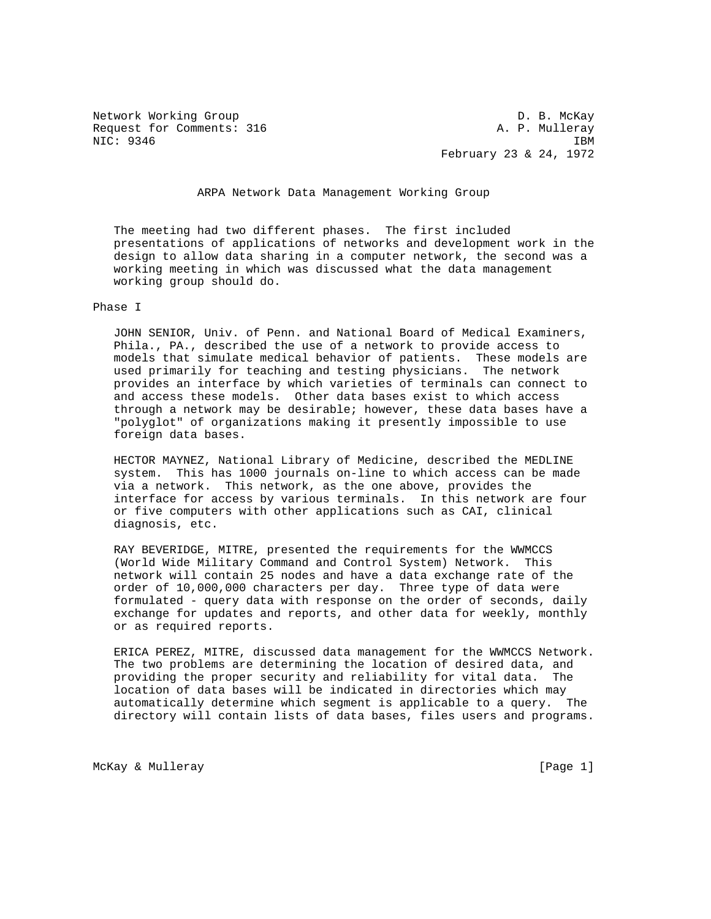Network Working Group D. B. McKay Request for Comments: 316 A. P. Mulleray NIC: 9346 IBM

February 23 & 24, 1972

ARPA Network Data Management Working Group

 The meeting had two different phases. The first included presentations of applications of networks and development work in the design to allow data sharing in a computer network, the second was a working meeting in which was discussed what the data management working group should do.

Phase I

 JOHN SENIOR, Univ. of Penn. and National Board of Medical Examiners, Phila., PA., described the use of a network to provide access to models that simulate medical behavior of patients. These models are used primarily for teaching and testing physicians. The network provides an interface by which varieties of terminals can connect to and access these models. Other data bases exist to which access through a network may be desirable; however, these data bases have a "polyglot" of organizations making it presently impossible to use foreign data bases.

 HECTOR MAYNEZ, National Library of Medicine, described the MEDLINE system. This has 1000 journals on-line to which access can be made via a network. This network, as the one above, provides the interface for access by various terminals. In this network are four or five computers with other applications such as CAI, clinical diagnosis, etc.

 RAY BEVERIDGE, MITRE, presented the requirements for the WWMCCS (World Wide Military Command and Control System) Network. This network will contain 25 nodes and have a data exchange rate of the order of 10,000,000 characters per day. Three type of data were formulated - query data with response on the order of seconds, daily exchange for updates and reports, and other data for weekly, monthly or as required reports.

 ERICA PEREZ, MITRE, discussed data management for the WWMCCS Network. The two problems are determining the location of desired data, and providing the proper security and reliability for vital data. The location of data bases will be indicated in directories which may automatically determine which segment is applicable to a query. The directory will contain lists of data bases, files users and programs.

McKay & Mulleray (Page 1)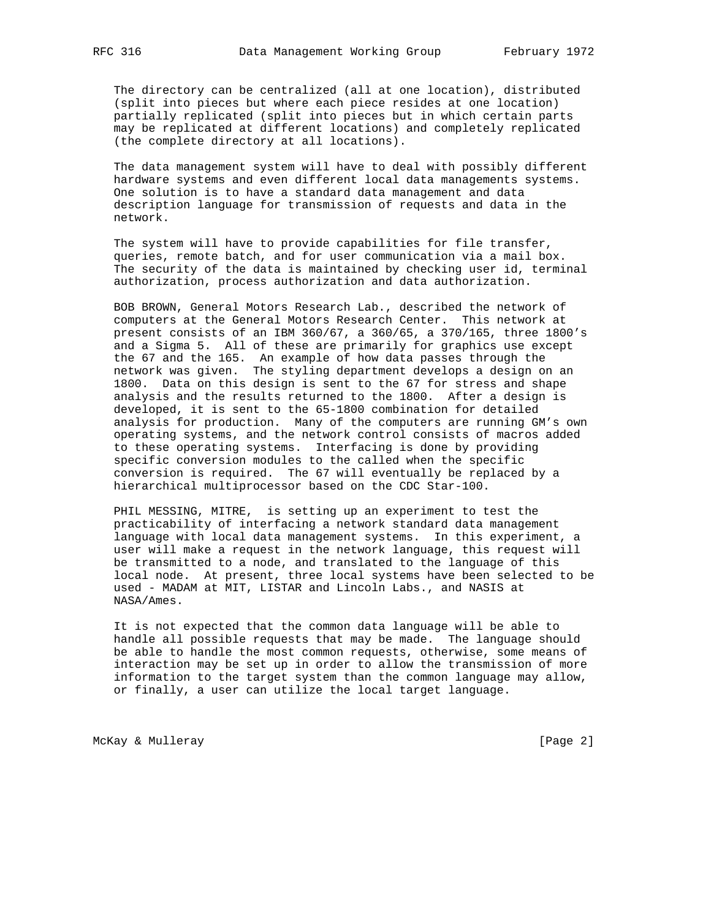The directory can be centralized (all at one location), distributed (split into pieces but where each piece resides at one location) partially replicated (split into pieces but in which certain parts may be replicated at different locations) and completely replicated (the complete directory at all locations).

 The data management system will have to deal with possibly different hardware systems and even different local data managements systems. One solution is to have a standard data management and data description language for transmission of requests and data in the network.

 The system will have to provide capabilities for file transfer, queries, remote batch, and for user communication via a mail box. The security of the data is maintained by checking user id, terminal authorization, process authorization and data authorization.

 BOB BROWN, General Motors Research Lab., described the network of computers at the General Motors Research Center. This network at present consists of an IBM 360/67, a 360/65, a 370/165, three 1800's and a Sigma 5. All of these are primarily for graphics use except the 67 and the 165. An example of how data passes through the network was given. The styling department develops a design on an 1800. Data on this design is sent to the 67 for stress and shape analysis and the results returned to the 1800. After a design is developed, it is sent to the 65-1800 combination for detailed analysis for production. Many of the computers are running GM's own operating systems, and the network control consists of macros added to these operating systems. Interfacing is done by providing specific conversion modules to the called when the specific conversion is required. The 67 will eventually be replaced by a hierarchical multiprocessor based on the CDC Star-100.

 PHIL MESSING, MITRE, is setting up an experiment to test the practicability of interfacing a network standard data management language with local data management systems. In this experiment, a user will make a request in the network language, this request will be transmitted to a node, and translated to the language of this local node. At present, three local systems have been selected to be used - MADAM at MIT, LISTAR and Lincoln Labs., and NASIS at NASA/Ames.

 It is not expected that the common data language will be able to handle all possible requests that may be made. The language should be able to handle the most common requests, otherwise, some means of interaction may be set up in order to allow the transmission of more information to the target system than the common language may allow, or finally, a user can utilize the local target language.

McKay & Mulleray (Page 2)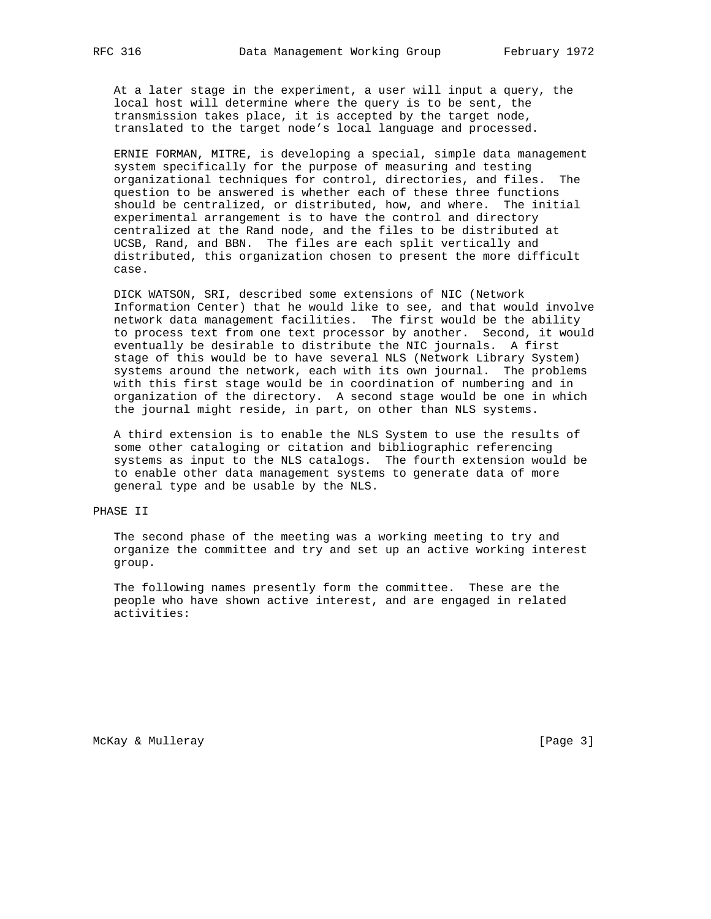At a later stage in the experiment, a user will input a query, the local host will determine where the query is to be sent, the transmission takes place, it is accepted by the target node, translated to the target node's local language and processed.

 ERNIE FORMAN, MITRE, is developing a special, simple data management system specifically for the purpose of measuring and testing organizational techniques for control, directories, and files. The question to be answered is whether each of these three functions should be centralized, or distributed, how, and where. The initial experimental arrangement is to have the control and directory centralized at the Rand node, and the files to be distributed at UCSB, Rand, and BBN. The files are each split vertically and distributed, this organization chosen to present the more difficult case.

 DICK WATSON, SRI, described some extensions of NIC (Network Information Center) that he would like to see, and that would involve network data management facilities. The first would be the ability to process text from one text processor by another. Second, it would eventually be desirable to distribute the NIC journals. A first stage of this would be to have several NLS (Network Library System) systems around the network, each with its own journal. The problems with this first stage would be in coordination of numbering and in organization of the directory. A second stage would be one in which the journal might reside, in part, on other than NLS systems.

 A third extension is to enable the NLS System to use the results of some other cataloging or citation and bibliographic referencing systems as input to the NLS catalogs. The fourth extension would be to enable other data management systems to generate data of more general type and be usable by the NLS.

## PHASE II

 The second phase of the meeting was a working meeting to try and organize the committee and try and set up an active working interest group.

 The following names presently form the committee. These are the people who have shown active interest, and are engaged in related activities:

McKay & Mulleray [Page 3]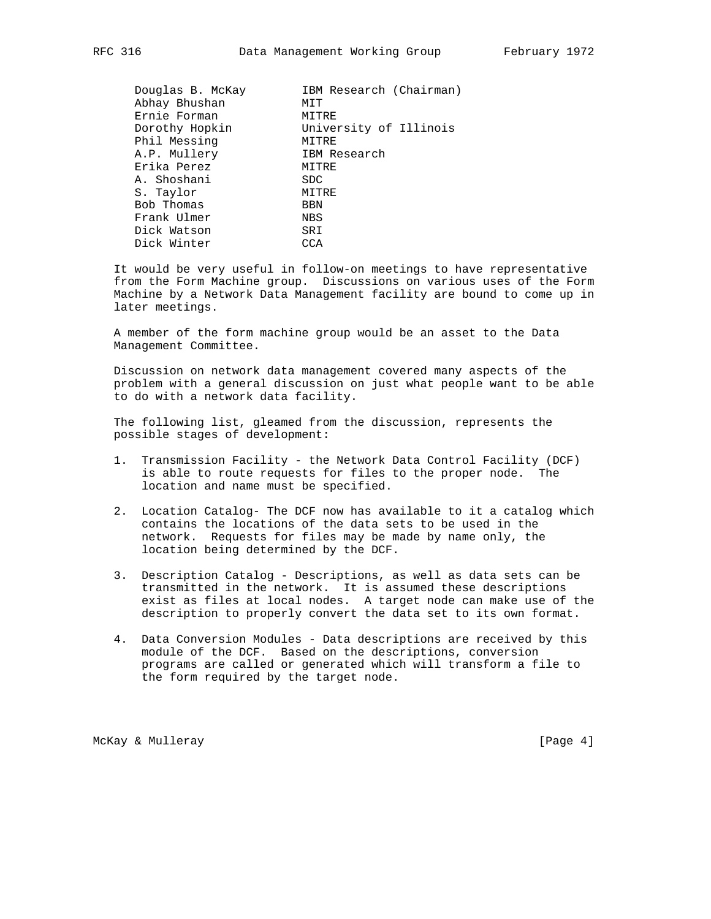| Douglas B. McKay | IBM Research (Chairman) |
|------------------|-------------------------|
| Abhay Bhushan    | MIT                     |
| Ernie Forman     | MITRE                   |
| Dorothy Hopkin   | University of Illinois  |
| Phil Messing     | MITRE                   |
| A.P. Mullery     | IBM Research            |
| Erika Perez      | MITRE                   |
| A. Shoshani      | <b>SDC</b>              |
| S. Taylor        | MITRE                   |
| Bob Thomas       | BBN                     |
| Frank Ulmer      | NBS                     |
| Dick Watson      | SRI                     |
| Dick Winter      | CCA                     |

 It would be very useful in follow-on meetings to have representative from the Form Machine group. Discussions on various uses of the Form Machine by a Network Data Management facility are bound to come up in later meetings.

 A member of the form machine group would be an asset to the Data Management Committee.

 Discussion on network data management covered many aspects of the problem with a general discussion on just what people want to be able to do with a network data facility.

 The following list, gleamed from the discussion, represents the possible stages of development:

- 1. Transmission Facility the Network Data Control Facility (DCF) is able to route requests for files to the proper node. The location and name must be specified.
- 2. Location Catalog- The DCF now has available to it a catalog which contains the locations of the data sets to be used in the network. Requests for files may be made by name only, the location being determined by the DCF.
- 3. Description Catalog Descriptions, as well as data sets can be transmitted in the network. It is assumed these descriptions exist as files at local nodes. A target node can make use of the description to properly convert the data set to its own format.
- 4. Data Conversion Modules Data descriptions are received by this module of the DCF. Based on the descriptions, conversion programs are called or generated which will transform a file to the form required by the target node.

McKay & Mulleray (Page 4)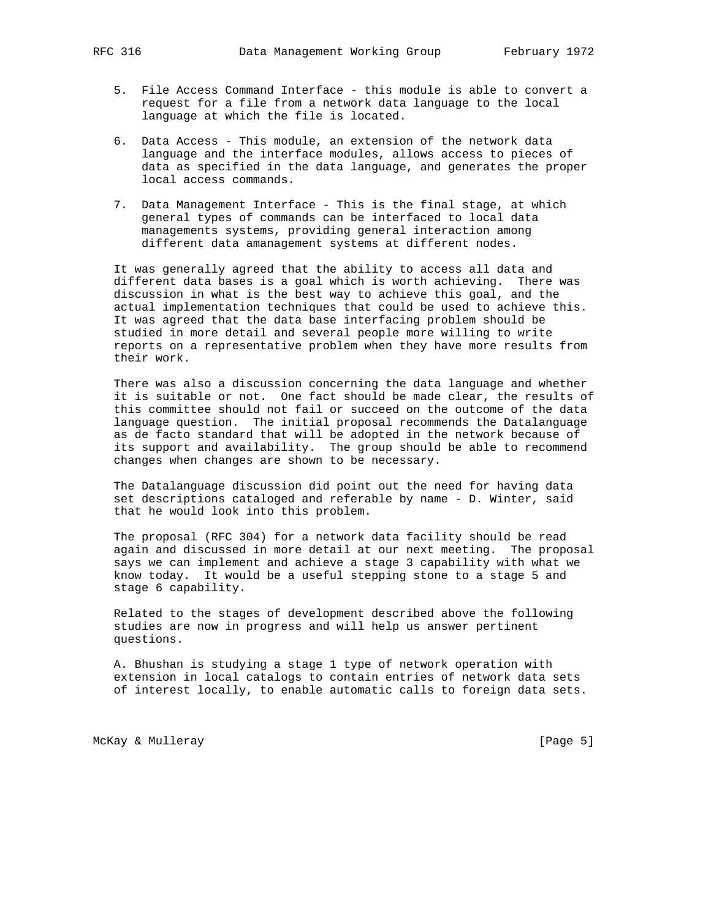- 5. File Access Command Interface this module is able to convert a request for a file from a network data language to the local language at which the file is located.
- 6. Data Access This module, an extension of the network data language and the interface modules, allows access to pieces of data as specified in the data language, and generates the proper local access commands.
- 7. Data Management Interface This is the final stage, at which general types of commands can be interfaced to local data managements systems, providing general interaction among different data amanagement systems at different nodes.

 It was generally agreed that the ability to access all data and different data bases is a goal which is worth achieving. There was discussion in what is the best way to achieve this goal, and the actual implementation techniques that could be used to achieve this. It was agreed that the data base interfacing problem should be studied in more detail and several people more willing to write reports on a representative problem when they have more results from their work.

 There was also a discussion concerning the data language and whether it is suitable or not. One fact should be made clear, the results of this committee should not fail or succeed on the outcome of the data language question. The initial proposal recommends the Datalanguage as de facto standard that will be adopted in the network because of its support and availability. The group should be able to recommend changes when changes are shown to be necessary.

 The Datalanguage discussion did point out the need for having data set descriptions cataloged and referable by name - D. Winter, said that he would look into this problem.

 The proposal (RFC 304) for a network data facility should be read again and discussed in more detail at our next meeting. The proposal says we can implement and achieve a stage 3 capability with what we know today. It would be a useful stepping stone to a stage 5 and stage 6 capability.

 Related to the stages of development described above the following studies are now in progress and will help us answer pertinent questions.

 A. Bhushan is studying a stage 1 type of network operation with extension in local catalogs to contain entries of network data sets of interest locally, to enable automatic calls to foreign data sets.

McKay & Mulleray [Page 5]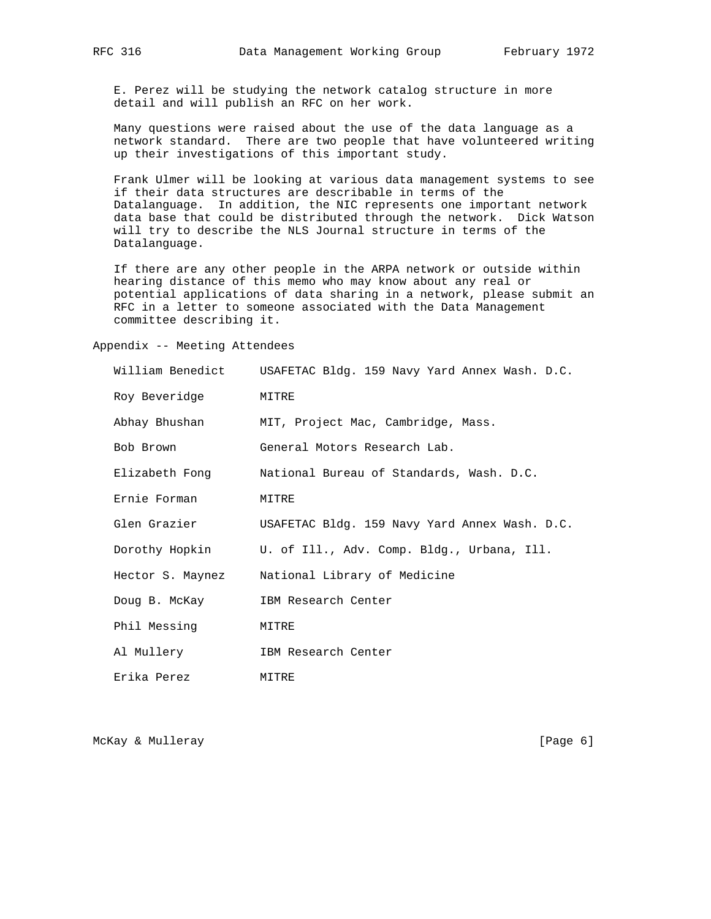E. Perez will be studying the network catalog structure in more detail and will publish an RFC on her work.

 Many questions were raised about the use of the data language as a network standard. There are two people that have volunteered writing up their investigations of this important study.

 Frank Ulmer will be looking at various data management systems to see if their data structures are describable in terms of the Datalanguage. In addition, the NIC represents one important network data base that could be distributed through the network. Dick Watson will try to describe the NLS Journal structure in terms of the Datalanguage.

 If there are any other people in the ARPA network or outside within hearing distance of this memo who may know about any real or potential applications of data sharing in a network, please submit an RFC in a letter to someone associated with the Data Management committee describing it.

Appendix -- Meeting Attendees

| William Benedict | USAFETAC Bldg. 159 Navy Yard Annex Wash. D.C. |
|------------------|-----------------------------------------------|
| Roy Beveridge    | MITRE                                         |
| Abhay Bhushan    | MIT, Project Mac, Cambridge, Mass.            |
| Bob Brown        | General Motors Research Lab.                  |
| Elizabeth Fong   | National Bureau of Standards, Wash. D.C.      |
| Ernie Forman     | MITRE                                         |
| Glen Grazier     | USAFETAC Bldg. 159 Navy Yard Annex Wash. D.C. |
| Dorothy Hopkin   | U. of Ill., Adv. Comp. Bldg., Urbana, Ill.    |
| Hector S. Maynez | National Library of Medicine                  |
| Doug B. McKay    | IBM Research Center                           |
| Phil Messing     | MITRE                                         |
| Al Mullery       | IBM Research Center                           |
| Erika Perez      | MITRE                                         |

McKay & Mulleray [Page 6]